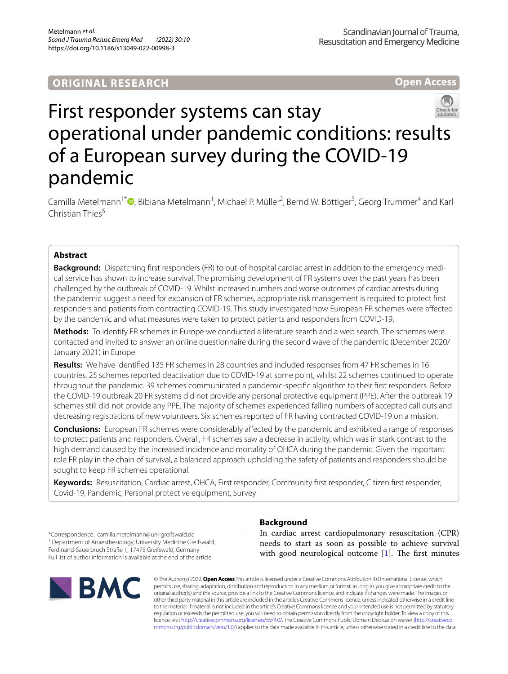**Open Access** 



# First responder systems can stay operational under pandemic conditions: results of a European survey during the COVID-19 pandemic

Camilla Metelmann<sup>1\*</sup> <sup>D</sup>[,](http://orcid.org/0000-0002-6145-9021) Bibiana Metelmann<sup>1</sup>, Michael P. Müller<sup>2</sup>, Bernd W. Böttiger<sup>3</sup>, Georg Trummer<sup>4</sup> and Karl Christian Thies<sup>5</sup>

# **Abstract**

**Background:** Dispatching frst responders (FR) to out-of-hospital cardiac arrest in addition to the emergency medical service has shown to increase survival. The promising development of FR systems over the past years has been challenged by the outbreak of COVID-19. Whilst increased numbers and worse outcomes of cardiac arrests during the pandemic suggest a need for expansion of FR schemes, appropriate risk management is required to protect frst responders and patients from contracting COVID-19. This study investigated how European FR schemes were afected by the pandemic and what measures were taken to protect patients and responders from COVID-19.

**Methods:** To identify FR schemes in Europe we conducted a literature search and a web search. The schemes were contacted and invited to answer an online questionnaire during the second wave of the pandemic (December 2020/ January 2021) in Europe.

**Results:** We have identifed 135 FR schemes in 28 countries and included responses from 47 FR schemes in 16 countries. 25 schemes reported deactivation due to COVID-19 at some point, whilst 22 schemes continued to operate throughout the pandemic. 39 schemes communicated a pandemic-specifc algorithm to their frst responders. Before the COVID-19 outbreak 20 FR systems did not provide any personal protective equipment (PPE). After the outbreak 19 schemes still did not provide any PPE. The majority of schemes experienced falling numbers of accepted call outs and decreasing registrations of new volunteers. Six schemes reported of FR having contracted COVID-19 on a mission.

**Conclusions:** European FR schemes were considerably afected by the pandemic and exhibited a range of responses to protect patients and responders. Overall, FR schemes saw a decrease in activity, which was in stark contrast to the high demand caused by the increased incidence and mortality of OHCA during the pandemic. Given the important role FR play in the chain of survival, a balanced approach upholding the safety of patients and responders should be sought to keep FR schemes operational.

**Keywords:** Resuscitation, Cardiac arrest, OHCA, First responder, Community frst responder, Citizen frst responder, Covid-19, Pandemic, Personal protective equipment, Survey

\*Correspondence: camilla.metelmann@uni-greifswald.de <sup>1</sup> Department of Anaesthesiology, University Medicine Greifswald, Ferdinand-Sauerbruch Straße 1, 17475 Greifswald, Germany Full list of author information is available at the end of the article



# **Background**

In cardiac arrest cardiopulmonary resuscitation (CPR) needs to start as soon as possible to achieve survival with good neurological outcome  $[1]$  $[1]$ . The first minutes

© The Author(s) 2022. **Open Access** This article is licensed under a Creative Commons Attribution 4.0 International License, which permits use, sharing, adaptation, distribution and reproduction in any medium or format, as long as you give appropriate credit to the original author(s) and the source, provide a link to the Creative Commons licence, and indicate if changes were made. The images or other third party material in this article are included in the article's Creative Commons licence, unless indicated otherwise in a credit line to the material. If material is not included in the article's Creative Commons licence and your intended use is not permitted by statutory regulation or exceeds the permitted use, you will need to obtain permission directly from the copyright holder. To view a copy of this licence, visit [http://creativecommons.org/licenses/by/4.0/.](http://creativecommons.org/licenses/by/4.0/) The Creative Commons Public Domain Dedication waiver ([http://creativeco](http://creativecommons.org/publicdomain/zero/1.0/) [mmons.org/publicdomain/zero/1.0/](http://creativecommons.org/publicdomain/zero/1.0/)) applies to the data made available in this article, unless otherwise stated in a credit line to the data.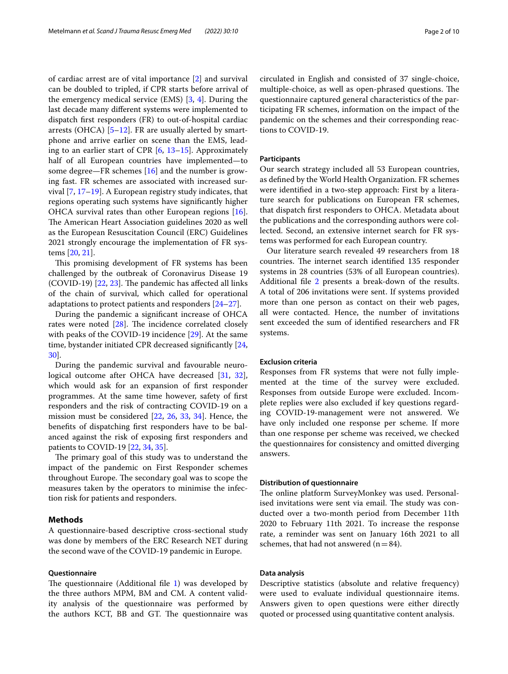of cardiac arrest are of vital importance [[2\]](#page-7-1) and survival can be doubled to tripled, if CPR starts before arrival of the emergency medical service (EMS) [[3,](#page-7-2) [4](#page-7-3)]. During the last decade many diferent systems were implemented to dispatch frst responders (FR) to out-of-hospital cardiac arrests (OHCA) [[5–](#page-7-4)[12\]](#page-8-0). FR are usually alerted by smartphone and arrive earlier on scene than the EMS, leading to an earlier start of CPR [\[6](#page-7-5), [13](#page-8-1)[–15](#page-8-2)]. Approximately half of all European countries have implemented—to some degree—FR schemes [\[16](#page-8-3)] and the number is growing fast. FR schemes are associated with increased survival [\[7](#page-7-6), [17–](#page-8-4)[19](#page-8-5)]. A European registry study indicates, that regions operating such systems have signifcantly higher OHCA survival rates than other European regions [\[16](#page-8-3)]. The American Heart Association guidelines 2020 as well as the European Resuscitation Council (ERC) Guidelines 2021 strongly encourage the implementation of FR systems [[20,](#page-8-6) [21](#page-8-7)].

This promising development of FR systems has been challenged by the outbreak of Coronavirus Disease 19 (COVID-19) [\[22](#page-8-8), [23\]](#page-8-9). The pandemic has affected all links of the chain of survival, which called for operational adaptations to protect patients and responders [\[24](#page-8-10)–[27\]](#page-8-11).

During the pandemic a signifcant increase of OHCA rates were noted  $[28]$  $[28]$ . The incidence correlated closely with peaks of the COVID-19 incidence [\[29](#page-8-13)]. At the same time, bystander initiated CPR decreased signifcantly [\[24](#page-8-10), [30\]](#page-8-14).

During the pandemic survival and favourable neurological outcome after OHCA have decreased [\[31](#page-8-15), [32](#page-8-16)], which would ask for an expansion of frst responder programmes. At the same time however, safety of frst responders and the risk of contracting COVID-19 on a mission must be considered [\[22](#page-8-8), [26,](#page-8-17) [33](#page-8-18), [34\]](#page-8-19). Hence, the benefts of dispatching frst responders have to be balanced against the risk of exposing frst responders and patients to COVID-19 [\[22,](#page-8-8) [34](#page-8-19), [35\]](#page-8-20).

The primary goal of this study was to understand the impact of the pandemic on First Responder schemes throughout Europe. The secondary goal was to scope the measures taken by the operators to minimise the infection risk for patients and responders.

## **Methods**

A questionnaire-based descriptive cross-sectional study was done by members of the ERC Research NET during the second wave of the COVID-19 pandemic in Europe.

#### **Questionnaire**

The questionnaire (Additional file  $1$ ) was developed by the three authors MPM, BM and CM. A content validity analysis of the questionnaire was performed by the authors KCT, BB and GT. The questionnaire was circulated in English and consisted of 37 single-choice, multiple-choice, as well as open-phrased questions. The questionnaire captured general characteristics of the participating FR schemes, information on the impact of the pandemic on the schemes and their corresponding reactions to COVID-19.

## **Participants**

Our search strategy included all 53 European countries, as defned by the World Health Organization. FR schemes were identifed in a two-step approach: First by a literature search for publications on European FR schemes, that dispatch frst responders to OHCA. Metadata about the publications and the corresponding authors were collected. Second, an extensive internet search for FR systems was performed for each European country.

Our literature search revealed 49 researchers from 18 countries. The internet search identified 135 responder systems in 28 countries (53% of all European countries). Additional file [2](#page-7-8) presents a break-down of the results. A total of 206 invitations were sent. If systems provided more than one person as contact on their web pages, all were contacted. Hence, the number of invitations sent exceeded the sum of identifed researchers and FR systems.

## **Exclusion criteria**

Responses from FR systems that were not fully implemented at the time of the survey were excluded. Responses from outside Europe were excluded. Incomplete replies were also excluded if key questions regarding COVID-19-management were not answered. We have only included one response per scheme. If more than one response per scheme was received, we checked the questionnaires for consistency and omitted diverging answers.

#### **Distribution of questionnaire**

The online platform SurveyMonkey was used. Personalised invitations were sent via email. The study was conducted over a two-month period from December 11th 2020 to February 11th 2021. To increase the response rate, a reminder was sent on January 16th 2021 to all schemes, that had not answered  $(n=84)$ .

## **Data analysis**

Descriptive statistics (absolute and relative frequency) were used to evaluate individual questionnaire items. Answers given to open questions were either directly quoted or processed using quantitative content analysis.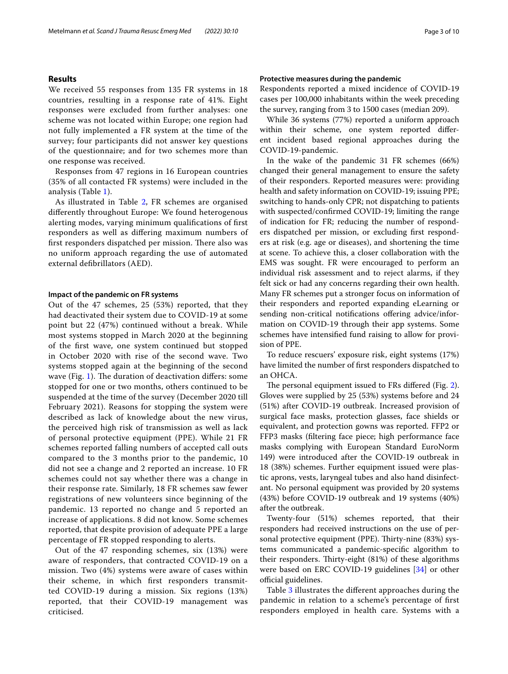## **Results**

We received 55 responses from 135 FR systems in 18 countries, resulting in a response rate of 41%. Eight responses were excluded from further analyses: one scheme was not located within Europe; one region had not fully implemented a FR system at the time of the survey; four participants did not answer key questions of the questionnaire; and for two schemes more than one response was received.

Responses from 47 regions in 16 European countries (35% of all contacted FR systems) were included in the analysis (Table [1\)](#page-3-0).

As illustrated in Table [2](#page-4-0), FR schemes are organised diferently throughout Europe: We found heterogenous alerting modes, varying minimum qualifcations of frst responders as well as difering maximum numbers of first responders dispatched per mission. There also was no uniform approach regarding the use of automated external defbrillators (AED).

#### **Impact of the pandemic on FR systems**

Out of the 47 schemes, 25 (53%) reported, that they had deactivated their system due to COVID-19 at some point but 22 (47%) continued without a break. While most systems stopped in March 2020 at the beginning of the frst wave, one system continued but stopped in October 2020 with rise of the second wave. Two systems stopped again at the beginning of the second wave (Fig. [1](#page-4-1)). The duration of deactivation differs: some stopped for one or two months, others continued to be suspended at the time of the survey (December 2020 till February 2021). Reasons for stopping the system were described as lack of knowledge about the new virus, the perceived high risk of transmission as well as lack of personal protective equipment (PPE). While 21 FR schemes reported falling numbers of accepted call outs compared to the 3 months prior to the pandemic, 10 did not see a change and 2 reported an increase. 10 FR schemes could not say whether there was a change in their response rate. Similarly, 18 FR schemes saw fewer registrations of new volunteers since beginning of the pandemic. 13 reported no change and 5 reported an increase of applications. 8 did not know. Some schemes reported, that despite provision of adequate PPE a large percentage of FR stopped responding to alerts.

Out of the 47 responding schemes, six (13%) were aware of responders, that contracted COVID-19 on a mission. Two (4%) systems were aware of cases within their scheme, in which frst responders transmitted COVID-19 during a mission. Six regions (13%) reported, that their COVID-19 management was criticised.

## **Protective measures during the pandemic**

Respondents reported a mixed incidence of COVID-19 cases per 100,000 inhabitants within the week preceding the survey, ranging from 3 to 1500 cases (median 209).

While 36 systems (77%) reported a uniform approach within their scheme, one system reported diferent incident based regional approaches during the COVID-19-pandemic.

In the wake of the pandemic 31 FR schemes (66%) changed their general management to ensure the safety of their responders. Reported measures were: providing health and safety information on COVID-19; issuing PPE; switching to hands-only CPR; not dispatching to patients with suspected/confrmed COVID-19; limiting the range of indication for FR; reducing the number of responders dispatched per mission, or excluding frst responders at risk (e.g. age or diseases), and shortening the time at scene. To achieve this, a closer collaboration with the EMS was sought. FR were encouraged to perform an individual risk assessment and to reject alarms, if they felt sick or had any concerns regarding their own health. Many FR schemes put a stronger focus on information of their responders and reported expanding eLearning or sending non-critical notifications offering advice/information on COVID-19 through their app systems. Some schemes have intensifed fund raising to allow for provision of PPE.

To reduce rescuers' exposure risk, eight systems (17%) have limited the number of frst responders dispatched to an OHCA.

The personal equipment issued to FRs differed (Fig. [2](#page-5-0)). Gloves were supplied by 25 (53%) systems before and 24 (51%) after COVID-19 outbreak. Increased provision of surgical face masks, protection glasses, face shields or equivalent, and protection gowns was reported. FFP2 or FFP3 masks (fltering face piece; high performance face masks complying with European Standard EuroNorm 149) were introduced after the COVID-19 outbreak in 18 (38%) schemes. Further equipment issued were plastic aprons, vests, laryngeal tubes and also hand disinfectant. No personal equipment was provided by 20 systems (43%) before COVID-19 outbreak and 19 systems (40%) after the outbreak.

Twenty-four (51%) schemes reported, that their responders had received instructions on the use of personal protective equipment (PPE). Thirty-nine (83%) systems communicated a pandemic-specifc algorithm to their responders. Thirty-eight (81%) of these algorithms were based on ERC COVID-19 guidelines [[34\]](#page-8-19) or other official guidelines.

Table [3](#page-5-1) illustrates the diferent approaches during the pandemic in relation to a scheme's percentage of frst responders employed in health care. Systems with a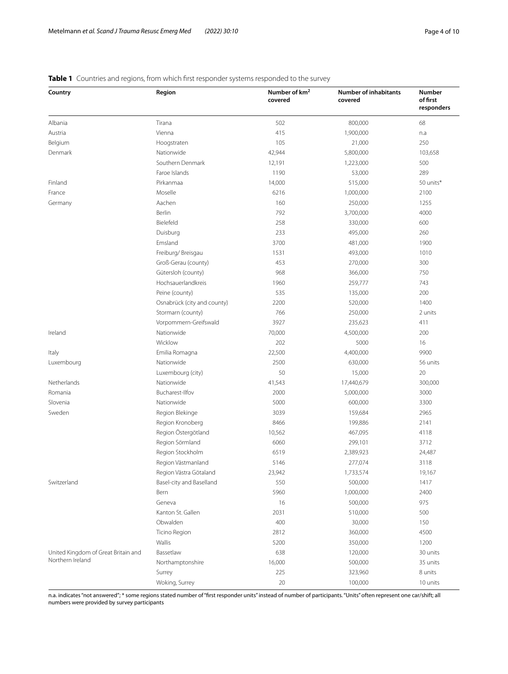## <span id="page-3-0"></span>**Table 1** Countries and regions, from which first responder systems responded to the survey

| Country                             | Region                      | Number of km <sup>2</sup><br>covered | <b>Number of inhabitants</b><br>covered | Number<br>of first<br>responders |
|-------------------------------------|-----------------------------|--------------------------------------|-----------------------------------------|----------------------------------|
| Albania                             | Tirana                      | 502                                  | 800,000                                 | 68                               |
| Austria                             | Vienna                      | 415                                  | 1,900,000                               | n.a                              |
| Belgium                             | Hoogstraten                 | 105                                  | 21,000                                  | 250                              |
| Denmark                             | Nationwide                  | 42,944                               | 5,800,000                               | 103,658                          |
|                                     | Southern Denmark            | 12,191                               | 1,223,000                               | 500                              |
|                                     | Faroe Islands               | 1190                                 | 53,000                                  | 289                              |
| Finland                             | Pirkanmaa                   | 14,000                               | 515,000                                 | 50 units*                        |
| France                              | Moselle                     | 6216                                 | 1,000,000                               | 2100                             |
| Germany                             | Aachen                      | 160                                  | 250,000                                 | 1255                             |
|                                     | Berlin                      | 792                                  | 3,700,000                               | 4000                             |
|                                     | Bielefeld                   | 258                                  | 330,000                                 | 600                              |
|                                     | Duisburg                    | 233                                  | 495,000                                 | 260                              |
|                                     | Emsland                     | 3700                                 | 481,000                                 | 1900                             |
|                                     | Freiburg/ Breisgau          | 1531                                 | 493,000                                 | 1010                             |
|                                     | Groß-Gerau (county)         | 453                                  | 270,000                                 | 300                              |
|                                     | Gütersloh (county)          | 968                                  | 366,000                                 | 750                              |
|                                     | Hochsauerlandkreis          | 1960                                 | 259,777                                 | 743                              |
|                                     | Peine (county)              | 535                                  | 135,000                                 | 200                              |
|                                     | Osnabrück (city and county) | 2200                                 | 520,000                                 | 1400                             |
|                                     | Stormarn (county)           | 766                                  | 250,000                                 | 2 units                          |
|                                     | Vorpommern-Greifswald       | 3927                                 | 235,623                                 | 411                              |
| Ireland                             | Nationwide                  | 70,000                               | 4,500,000                               | 200                              |
|                                     | Wicklow                     | 202                                  | 5000                                    | 16                               |
| Italy                               | Emilia Romagna              | 22,500                               | 4,400,000                               | 9900                             |
| Luxembourg                          | Nationwide                  | 2500                                 | 630,000                                 | 56 units                         |
|                                     | Luxembourg (city)           | 50                                   | 15,000                                  | 20                               |
| Netherlands                         | Nationwide                  | 41,543                               | 17,440,679                              | 300,000                          |
| Romania                             | Bucharest-Ilfov             | 2000                                 | 5,000,000                               | 3000                             |
| Slovenia                            | Nationwide                  | 5000                                 | 600,000                                 | 3300                             |
| Sweden                              | Region Blekinge             | 3039                                 | 159,684                                 | 2965                             |
|                                     | Region Kronoberg            | 8466                                 | 199,886                                 | 2141                             |
|                                     | Region Östergötland         | 10,562                               | 467,095                                 | 4118                             |
|                                     | Region Sörmland             | 6060                                 | 299,101                                 | 3712                             |
|                                     | Region Stockholm            | 6519                                 | 2,389,923                               | 24,487                           |
|                                     | Region Västmanland          | 5146                                 | 277,074                                 | 3118                             |
|                                     | Region Västra Götaland      | 23,942                               | 1,733,574                               | 19,167                           |
| Switzerland                         | Basel-city and Baselland    | 550                                  | 500,000                                 | 1417                             |
|                                     | Bern                        | 5960                                 | 1,000,000                               | 2400                             |
|                                     | Geneva                      | 16                                   | 500,000                                 | 975                              |
|                                     | Kanton St. Gallen           | 2031                                 | 510,000                                 | 500                              |
|                                     | Obwalden                    | 400                                  | 30,000                                  | 150                              |
|                                     | Ticino Region               | 2812                                 | 360,000                                 | 4500                             |
|                                     | Wallis                      | 5200                                 | 350,000                                 | 1200                             |
| United Kingdom of Great Britain and | Bassetlaw                   | 638                                  | 120,000                                 | 30 units                         |
| Northern Ireland                    | Northamptonshire            | 16,000                               | 500,000                                 | 35 units                         |
|                                     | Surrey                      | 225                                  | 323,960                                 | 8 units                          |
|                                     | Woking, Surrey              | 20                                   | 100,000                                 | 10 units                         |

n.a. indicates "not answered"; \* some regions stated number of "frst responder units" instead of number of participants. "Units" often represent one car/shift; all numbers were provided by survey participants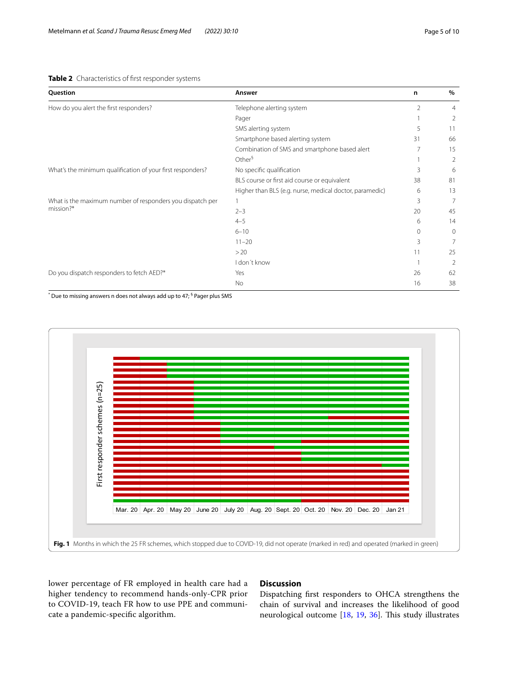<span id="page-4-0"></span>

|  | Table 2 Characteristics of first responder systems |  |  |  |
|--|----------------------------------------------------|--|--|--|
|--|----------------------------------------------------|--|--|--|

| Question                                                               | Answer                                                  | n        | $\%$           |
|------------------------------------------------------------------------|---------------------------------------------------------|----------|----------------|
| How do you alert the first responders?                                 | Telephone alerting system                               | 2        | $\overline{4}$ |
|                                                                        | Pager                                                   |          | 2              |
|                                                                        | SMS alerting system                                     | 5        | 11             |
|                                                                        | Smartphone based alerting system                        | 31       | 66             |
|                                                                        | Combination of SMS and smartphone based alert           |          | 15             |
|                                                                        | Other <sup>§</sup>                                      |          | 2              |
| What's the minimum qualification of your first responders?             | No specific qualification                               | 3        | 6              |
|                                                                        | BLS course or first aid course or equivalent            | 38       | 81             |
|                                                                        | Higher than BLS (e.g. nurse, medical doctor, paramedic) | 6        | 13             |
| What is the maximum number of responders you dispatch per<br>mission?* |                                                         | 3        | 7              |
|                                                                        | $2 - 3$                                                 | 20       | 45             |
|                                                                        | $4 - 5$                                                 | 6        | 14             |
|                                                                        | $6 - 10$                                                | $\Omega$ | $\Omega$       |
|                                                                        | $11 - 20$                                               | ξ        | 7              |
|                                                                        | >20                                                     | 11       | 25             |
|                                                                        | I don't know                                            |          | $\overline{2}$ |
| Do you dispatch responders to fetch AED?*                              | Yes                                                     | 26       | 62             |
|                                                                        | No                                                      | 16       | 38             |

 $\degree$  Due to missing answers n does not always add up to 47;  $\degree$  Pager plus SMS



<span id="page-4-1"></span>lower percentage of FR employed in health care had a higher tendency to recommend hands-only-CPR prior to COVID-19, teach FR how to use PPE and communicate a pandemic-specifc algorithm.

## **Discussion**

Dispatching frst responders to OHCA strengthens the chain of survival and increases the likelihood of good neurological outcome  $[18, 19, 36]$  $[18, 19, 36]$  $[18, 19, 36]$  $[18, 19, 36]$  $[18, 19, 36]$  $[18, 19, 36]$  $[18, 19, 36]$ . This study illustrates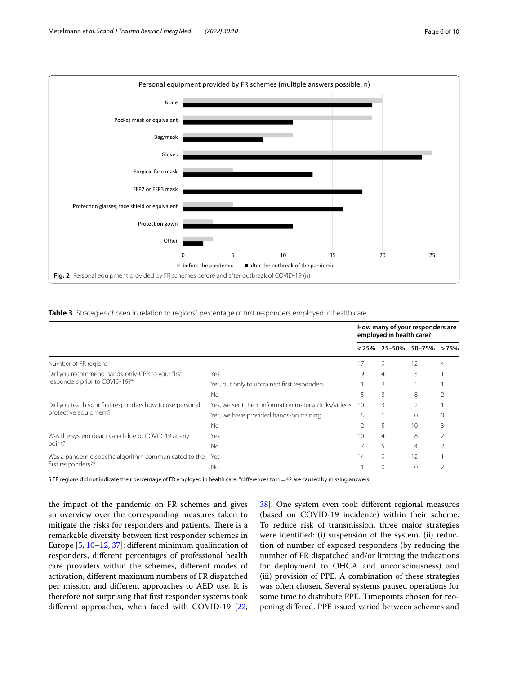

<span id="page-5-1"></span><span id="page-5-0"></span>**Table 3** Strategies chosen in relation to regions' percentage of first responders employed in health care

|                                                                                  |                                                     | How many of your responders are<br>employed in health care? |                |                             |   |
|----------------------------------------------------------------------------------|-----------------------------------------------------|-------------------------------------------------------------|----------------|-----------------------------|---|
|                                                                                  |                                                     |                                                             |                | $< 25\%$ 25-50% 50-75% >75% |   |
| Number of FR regions                                                             |                                                     | 17                                                          | 9              | 12                          | 4 |
| Did you recommend hands-only-CPR to your first<br>responders prior to COVID-19?* | Yes                                                 | 9                                                           | $\overline{4}$ | 3                           |   |
|                                                                                  | Yes, but only to untrained first responders         |                                                             |                |                             |   |
|                                                                                  | <b>No</b>                                           | 5                                                           | 3              | 8                           |   |
| Did you teach your first responders how to use personal<br>protective equipment? | Yes, we sent them information material/links/videos | 10                                                          | 3              |                             |   |
|                                                                                  | Yes, we have provided hands-on training             |                                                             |                |                             |   |
|                                                                                  | <b>No</b>                                           | 10<br>5                                                     |                |                             |   |
| Was the system deactivated due to COVID-19 at any<br>point?                      | Yes                                                 | 10                                                          | 4              | 8                           |   |
|                                                                                  | <b>No</b>                                           |                                                             | 5              | 4                           |   |
| Was a pandemic-specific algorithm communicated to the<br>first responders?*      | Yes                                                 | 14                                                          | 9              | 12                          |   |
|                                                                                  | No.                                                 |                                                             | $\Omega$       | $\Omega$                    |   |

5 FR regions did not indicate their percentage of FR employed in health care. \*diferences to n=42 are caused by missing answers

the impact of the pandemic on FR schemes and gives an overview over the corresponding measures taken to mitigate the risks for responders and patients. There is a remarkable diversity between frst responder schemes in Europe [[5,](#page-7-4) [10–](#page-8-23)[12,](#page-8-0) [37](#page-8-24)]: diferent minimum qualifcation of responders, diferent percentages of professional health care providers within the schemes, diferent modes of activation, diferent maximum numbers of FR dispatched per mission and diferent approaches to AED use. It is therefore not surprising that frst responder systems took diferent approaches, when faced with COVID-19 [\[22](#page-8-8), [38\]](#page-8-25). One system even took diferent regional measures (based on COVID-19 incidence) within their scheme. To reduce risk of transmission, three major strategies were identifed: (i) suspension of the system, (ii) reduction of number of exposed responders (by reducing the number of FR dispatched and/or limiting the indications for deployment to OHCA and unconsciousness) and (iii) provision of PPE. A combination of these strategies was often chosen. Several systems paused operations for some time to distribute PPE. Timepoints chosen for reopening difered. PPE issued varied between schemes and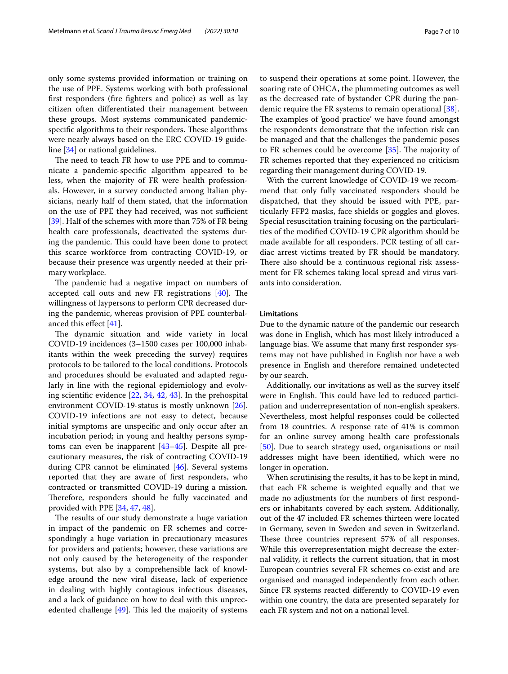only some systems provided information or training on the use of PPE. Systems working with both professional frst responders (fre fghters and police) as well as lay citizen often diferentiated their management between these groups. Most systems communicated pandemicspecific algorithms to their responders. These algorithms were nearly always based on the ERC COVID-19 guideline [\[34](#page-8-19)] or national guidelines.

The need to teach FR how to use PPE and to communicate a pandemic-specifc algorithm appeared to be less, when the majority of FR were health professionals. However, in a survey conducted among Italian physicians, nearly half of them stated, that the information on the use of PPE they had received, was not sufficient [[39\]](#page-8-26). Half of the schemes with more than 75% of FR being health care professionals, deactivated the systems during the pandemic. This could have been done to protect this scarce workforce from contracting COVID-19, or because their presence was urgently needed at their primary workplace.

The pandemic had a negative impact on numbers of accepted call outs and new FR registrations  $[40]$  $[40]$ . The willingness of laypersons to perform CPR decreased during the pandemic, whereas provision of PPE counterbalanced this efect [\[41](#page-8-28)].

The dynamic situation and wide variety in local COVID-19 incidences (3–1500 cases per 100,000 inhabitants within the week preceding the survey) requires protocols to be tailored to the local conditions. Protocols and procedures should be evaluated and adapted regularly in line with the regional epidemiology and evolving scientifc evidence [[22,](#page-8-8) [34,](#page-8-19) [42,](#page-8-29) [43\]](#page-9-0). In the prehospital environment COVID-19-status is mostly unknown [\[26](#page-8-17)]. COVID-19 infections are not easy to detect, because initial symptoms are unspecifc and only occur after an incubation period; in young and healthy persons symptoms can even be inapparent [\[43–](#page-9-0)[45\]](#page-9-1). Despite all precautionary measures, the risk of contracting COVID-19 during CPR cannot be eliminated [\[46\]](#page-9-2). Several systems reported that they are aware of frst responders, who contracted or transmitted COVID-19 during a mission. Therefore, responders should be fully vaccinated and provided with PPE [\[34](#page-8-19), [47](#page-9-3), [48\]](#page-9-4).

The results of our study demonstrate a huge variation in impact of the pandemic on FR schemes and correspondingly a huge variation in precautionary measures for providers and patients; however, these variations are not only caused by the heterogeneity of the responder systems, but also by a comprehensible lack of knowledge around the new viral disease, lack of experience in dealing with highly contagious infectious diseases, and a lack of guidance on how to deal with this unprecedented challenge  $[49]$  $[49]$ . This led the majority of systems to suspend their operations at some point. However, the soaring rate of OHCA, the plummeting outcomes as well as the decreased rate of bystander CPR during the pan-demic require the FR systems to remain operational [\[38](#page-8-25)]. The examples of 'good practice' we have found amongst the respondents demonstrate that the infection risk can be managed and that the challenges the pandemic poses to FR schemes could be overcome  $[35]$ . The majority of FR schemes reported that they experienced no criticism regarding their management during COVID-19.

With the current knowledge of COVID-19 we recommend that only fully vaccinated responders should be dispatched, that they should be issued with PPE, particularly FFP2 masks, face shields or goggles and gloves. Special resuscitation training focusing on the particularities of the modifed COVID-19 CPR algorithm should be made available for all responders. PCR testing of all cardiac arrest victims treated by FR should be mandatory. There also should be a continuous regional risk assessment for FR schemes taking local spread and virus variants into consideration.

## **Limitations**

Due to the dynamic nature of the pandemic our research was done in English, which has most likely introduced a language bias. We assume that many frst responder systems may not have published in English nor have a web presence in English and therefore remained undetected by our search.

Additionally, our invitations as well as the survey itself were in English. This could have led to reduced participation and underrepresentation of non-english speakers. Nevertheless, most helpful responses could be collected from 18 countries. A response rate of 41% is common for an online survey among health care professionals [[50\]](#page-9-6). Due to search strategy used, organisations or mail addresses might have been identifed, which were no longer in operation.

When scrutinising the results, it has to be kept in mind, that each FR scheme is weighted equally and that we made no adjustments for the numbers of frst responders or inhabitants covered by each system. Additionally, out of the 47 included FR schemes thirteen were located in Germany, seven in Sweden and seven in Switzerland. These three countries represent 57% of all responses. While this overrepresentation might decrease the external validity, it refects the current situation, that in most European countries several FR schemes co-exist and are organised and managed independently from each other. Since FR systems reacted diferently to COVID-19 even within one country, the data are presented separately for each FR system and not on a national level.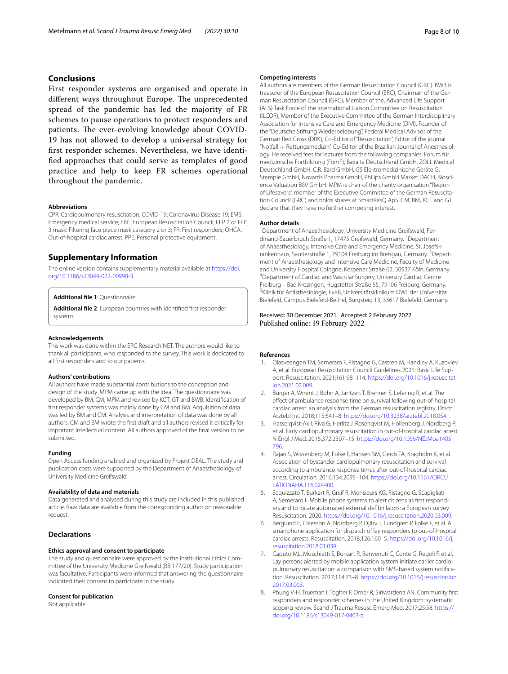## **Conclusions**

First responder systems are organised and operate in different ways throughout Europe. The unprecedented spread of the pandemic has led the majority of FR schemes to pause operations to protect responders and patients. The ever-evolving knowledge about COVID-19 has not allowed to develop a universal strategy for frst responder schemes. Nevertheless, we have identifed approaches that could serve as templates of good practice and help to keep FR schemes operational throughout the pandemic.

#### **Abbreviations**

CPR: Cardiopulmonary resuscitation; COVID-19: Coronavirus Disease 19; EMS: Emergency medical service; ERC: European Resuscitation Council; FFP 2 or FFP 3 mask: Filtering face piece mask category 2 or 3; FR: First responders; OHCA: Out-of-hospital cardiac arrest; PPE: Personal protective equipment.

#### **Supplementary Information**

The online version contains supplementary material available at [https://doi.](https://doi.org/10.1186/s13049-022-00998-3) [org/10.1186/s13049-022-00998-3](https://doi.org/10.1186/s13049-022-00998-3).

## <span id="page-7-8"></span><span id="page-7-7"></span>**Additional fle 1**: Questionnaire

**Additional fle 2**: European countries with identifed frst responder systems

#### **Acknowledgements**

This work was done within the ERC Research NET. The authors would like to thank all participants, who responded to the survey. This work is dedicated to all frst responders and to our patients.

#### **Authors' contributions**

All authors have made substantial contributions to the conception and design of the study. MPM came up with the idea. The questionnaire was developed by BM, CM, MPM and revised by KCT, GT and BWB. Identifcation of frst responder systems was mainly done by CM and BM. Acquisition of data was led by BM and CM. Analysis and interpretation of data was done by all authors. CM and BM wrote the frst draft and all authors revised it critically for important intellectual content. All authors approved of the fnal version to be submitted.

#### **Funding**

Open Access funding enabled and organized by Projekt DEAL. The study and publication costs were supported by the Department of Anaesthesiology of University Medicine Greifswald.

#### **Availability of data and materials**

Data generated and analysed during this study are included in this published article. Raw data are available from the corresponding author on reasonable request.

## **Declarations**

#### **Ethics approval and consent to participate**

The study and questionnaire were approved by the institutional Ethics Committee of the University Medicine Greifswald (BB 177/20). Study participation was facultative. Participants were informed that answering the questionnaire indicated their consent to participate in the study.

#### **Consent for publication**

Not applicable.

#### **Competing interests**

All authors are members of the German Resuscitation Council (GRC). BWB is treasurer of the European Resuscitation Council (ERC), Chairman of the German Resuscitation Council (GRC), Member of the, Advanced Life Support (ALS) Task Force of the International Liaison Committee on Resuscitation (ILCOR), Member of the Executive Committee of the German Interdisciplinary Association for Intensive Care and Emergency Medicine (DIVI), Founder of the "Deutsche Stiftung Wiederbelebung", Federal Medical Advisor of the German Red Cross (DRK), Co-Editor of "Resuscitation", Editor of the journal "Notfall + Rettungsmedizin", Co-Editor of the Brazilian Journal of Anesthesiology. He received fees for lectures from the following companies: Forum für medizinische Fortbildung (FomF), Baxalta Deutschland GmbH, ZOLL Medical Deutschland GmbH, C.R. Bard GmbH, GS Elektromedizinische Geräte G. Stemple GmbH, Novartis Pharma GmbH, Philips GmbH Market DACH, Bioscience Valuation BSV GmbH. MPM is chair of the charity organisation "Region of Lifesavers", member of the Executive Committee of the German Resuscitation Council (GRC) and holds shares at SmartResQ ApS. CM, BM, KCT and GT declare that they have no further competing interest.

#### **Author details**

<sup>1</sup> Department of Anaesthesiology, University Medicine Greifswald, Ferdinand-Sauerbruch Straße 1, 17475 Greifswald, Germany. <sup>2</sup>Department of Anaesthesiology, Intensive Care and Emergency Medicine, St. Josefskrankenhaus, Sautierstraße 1, 79104 Freiburg im Breisgau, Germany. <sup>3</sup>Department of Anaesthesiology and Intensive Care Medicine, Faculty of Medicine and University Hospital Cologne, Kerpener Straße 62, 50937 Köln, Germany. 4 <sup>4</sup>Department of Cardiac and Vascular Surgery, University Cardiac Centre Freiburg – Bad Krozingen, Hugstetter Straße 55, 79106 Freiburg, Germany. 5 <sup>5</sup>Klinik für Anästhesiologie, EvKB, Universitätsklinikum OWL der Universität Bielefeld, Campus Bielefeld-Bethel, Burgsteig 13, 33617 Bielefeld, Germany.

## Received: 30 December 2021 Accepted: 2 February 2022 Published online: 19 February 2022

#### **References**

- <span id="page-7-0"></span>1. Olasveengen TM, Semeraro F, Ristagno G, Castren M, Handley A, Kuzovlev A, et al. European Resuscitation Council Guidelines 2021: Basic Life Support. Resuscitation. 2021;161:98–114. [https://doi.org/10.1016/j.resuscitat](https://doi.org/10.1016/j.resuscitation.2021.02.009) [ion.2021.02.009](https://doi.org/10.1016/j.resuscitation.2021.02.009).
- <span id="page-7-1"></span>2. Bürger A, Wnent J, Bohn A, Jantzen T, Brenner S, Lefering R, et al. The efect of ambulance response time on survival following out-of-hospital cardiac arrest: an analysis from the German resuscitation registry. Dtsch Arztebl Int. 2018;115:541–8.<https://doi.org/10.3238/arztebl.2018.0541>.
- <span id="page-7-2"></span>3. Hasselqvist-Ax I, Riva G, Herlitz J, Rosenqvist M, Hollenberg J, Nordberg P, et al. Early cardiopulmonary resuscitation in out-of-hospital cardiac arrest. N Engl J Med. 2015;372:2307–15. [https://doi.org/10.1056/NEJMoa1405](https://doi.org/10.1056/NEJMoa1405796) [796.](https://doi.org/10.1056/NEJMoa1405796)
- <span id="page-7-3"></span>4. Rajan S, Wissenberg M, Folke F, Hansen SM, Gerds TA, Kragholm K, et al. Association of bystander cardiopulmonary resuscitation and survival according to ambulance response times after out-of-hospital cardiac arrest. Circulation. 2016;134:2095–104. [https://doi.org/10.1161/CIRCU](https://doi.org/10.1161/CIRCULATIONAHA.116.024400) [LATIONAHA.116.024400.](https://doi.org/10.1161/CIRCULATIONAHA.116.024400)
- <span id="page-7-4"></span>5. Scquizzato T, Burkart R, Greif R, Monsieurs KG, Ristagno G, Scapigliati A, Semeraro F. Mobile phone systems to alert citizens as frst responders and to locate automated external defbrillators: a European survey. Resuscitation. 2020. <https://doi.org/10.1016/j.resuscitation.2020.03.009>.
- <span id="page-7-5"></span>6. Berglund E, Claesson A, Nordberg P, Djärv T, Lundgren P, Folke F, et al. A smartphone application for dispatch of lay responders to out-of-hospital cardiac arrests. Resuscitation. 2018;126:160–5. [https://doi.org/10.1016/j.](https://doi.org/10.1016/j.resuscitation.2018.01.039) [resuscitation.2018.01.039](https://doi.org/10.1016/j.resuscitation.2018.01.039).
- <span id="page-7-6"></span>7. Caputo ML, Muschietti S, Burkart R, Benvenuti C, Conte G, Regoli F, et al. Lay persons alerted by mobile application system initiate earlier cardiopulmonary resuscitation: a comparison with SMS-based system notifcation. Resuscitation. 2017;114:73–8. [https://doi.org/10.1016/j.resuscitation.](https://doi.org/10.1016/j.resuscitation.2017.03.003) [2017.03.003](https://doi.org/10.1016/j.resuscitation.2017.03.003).
- 8. Phung V-H, Trueman I, Togher F, Orner R, Siriwardena AN. Community frst responders and responder schemes in the United Kingdom: systematic scoping review. Scand J Trauma Resusc Emerg Med. 2017;25:58. [https://](https://doi.org/10.1186/s13049-017-0403-z) [doi.org/10.1186/s13049-017-0403-z.](https://doi.org/10.1186/s13049-017-0403-z)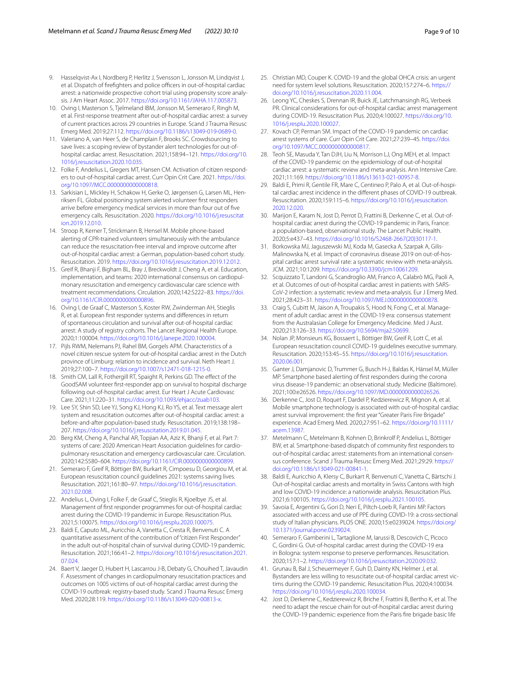- 9. Hasselqvist-Ax I, Nordberg P, Herlitz J, Svensson L, Jonsson M, Lindqvist J, et al. Dispatch of firefighters and police officers in out-of-hospital cardiac arrest: a nationwide prospective cohort trial using propensity score analysis. J Am Heart Assoc. 2017. <https://doi.org/10.1161/JAHA.117.005873>.
- <span id="page-8-23"></span>10. Oving I, Masterson S, Tjelmeland IBM, Jonsson M, Semeraro F, Ringh M, et al. First-response treatment after out-of-hospital cardiac arrest: a survey of current practices across 29 countries in Europe. Scand J Trauma Resusc Emerg Med. 2019;27:112. [https://doi.org/10.1186/s13049-019-0689-0.](https://doi.org/10.1186/s13049-019-0689-0)
- 11. Valeriano A, van Heer S, de Champlain F, Brooks SC. Crowdsourcing to save lives: a scoping review of bystander alert technologies for out-ofhospital cardiac arrest. Resuscitation. 2021;158:94–121. [https://doi.org/10.](https://doi.org/10.1016/j.resuscitation.2020.10.035) [1016/j.resuscitation.2020.10.035.](https://doi.org/10.1016/j.resuscitation.2020.10.035)
- <span id="page-8-0"></span>12. Folke F, Andelius L, Gregers MT, Hansen CM. Activation of citizen responders to out-of-hospital cardiac arrest. Curr Opin Crit Care. 2021. [https://doi.](https://doi.org/10.1097/MCC.0000000000000818) [org/10.1097/MCC.0000000000000818.](https://doi.org/10.1097/MCC.0000000000000818)
- <span id="page-8-1"></span>13. Sarkisian L, Mickley H, Schakow H, Gerke O, Jørgensen G, Larsen ML, Henriksen FL. Global positioning system alerted volunteer frst responders arrive before emergency medical services in more than four out of fve emergency calls. Resuscitation. 2020. [https://doi.org/10.1016/j.resuscitat](https://doi.org/10.1016/j.resuscitation.2019.12.010) [ion.2019.12.010](https://doi.org/10.1016/j.resuscitation.2019.12.010).
- 14. Stroop R, Kerner T, Strickmann B, Hensel M. Mobile phone-based alerting of CPR-trained volunteers simultaneously with the ambulance can reduce the resuscitation-free interval and improve outcome after out-of-hospital cardiac arrest: a German, population-based cohort study. Resuscitation. 2019. <https://doi.org/10.1016/j.resuscitation.2019.12.012>.
- <span id="page-8-2"></span>15. Greif R, Bhanji F, Bigham BL, Bray J, Breckwoldt J, Cheng A, et al. Education, implementation, and teams: 2020 international consensus on cardiopulmonary resuscitation and emergency cardiovascular care science with treatment recommendations. Circulation. 2020;142:S222–83. [https://doi.](https://doi.org/10.1161/CIR.0000000000000896) [org/10.1161/CIR.0000000000000896.](https://doi.org/10.1161/CIR.0000000000000896)
- <span id="page-8-3"></span>16. Oving I, de Graaf C, Masterson S, Koster RW, Zwinderman AH, Stieglis R, et al. European frst responder systems and diferences in return of spontaneous circulation and survival after out-of-hospital cardiac arrest: A study of registry cohorts. The Lancet Regional Health Europe. 2020;1:100004. [https://doi.org/10.1016/j.lanepe.2020.100004.](https://doi.org/10.1016/j.lanepe.2020.100004)
- <span id="page-8-4"></span>17. Pijls RWM, Nelemans PJ, Rahel BM, Gorgels APM. Characteristics of a novel citizen rescue system for out-of-hospital cardiac arrest in the Dutch province of Limburg: relation to incidence and survival. Neth Heart J. 2019;27:100–7. [https://doi.org/10.1007/s12471-018-1215-0.](https://doi.org/10.1007/s12471-018-1215-0)
- <span id="page-8-21"></span>18. Smith CM, Lall R, Fothergill RT, Spaight R, Perkins GD. The effect of the GoodSAM volunteer frst-responder app on survival to hospital discharge following out-of-hospital cardiac arrest. Eur Heart J Acute Cardiovasc Care. 2021;11:220–31. [https://doi.org/10.1093/ehjacc/zuab103.](https://doi.org/10.1093/ehjacc/zuab103)
- <span id="page-8-5"></span>19. Lee SY, Shin SD, Lee YJ, Song KJ, Hong KJ, Ro YS, et al. Text message alert system and resuscitation outcomes after out-of-hospital cardiac arrest: a before-and-after population-based study. Resuscitation. 2019;138:198– 207. <https://doi.org/10.1016/j.resuscitation.2019.01.045>.
- <span id="page-8-6"></span>20. Berg KM, Cheng A, Panchal AR, Topjian AA, Aziz K, Bhanji F, et al. Part 7: systems of care: 2020 American Heart Association guidelines for cardiopulmonary resuscitation and emergency cardiovascular care. Circulation. 2020;142:S580–604.<https://doi.org/10.1161/CIR.0000000000000899>.
- <span id="page-8-7"></span>21. Semeraro F, Greif R, Böttiger BW, Burkart R, Cimpoesu D, Georgiou M, et al. European resuscitation council guidelines 2021: systems saving lives. Resuscitation. 2021;161:80–97. [https://doi.org/10.1016/j.resuscitation.](https://doi.org/10.1016/j.resuscitation.2021.02.008) [2021.02.008](https://doi.org/10.1016/j.resuscitation.2021.02.008).
- <span id="page-8-8"></span>22. Andelius L, Oving I, Folke F, de Graaf C, Stieglis R, Kjoelbye JS, et al. Management of frst responder programmes for out-of-hospital cardiac arrest during the COVID-19 pandemic in Europe. Resuscitation Plus. 2021;5:100075. [https://doi.org/10.1016/j.resplu.2020.100075.](https://doi.org/10.1016/j.resplu.2020.100075)
- <span id="page-8-9"></span>23. Baldi E, Caputo ML, Auricchio A, Vanetta C, Cresta R, Benvenuti C. A quantitative assessment of the contribution of "citizen First Responder" in the adult out-of-hospital chain of survival during COVID-19 pandemic. Resuscitation. 2021;166:41–2. [https://doi.org/10.1016/j.resuscitation.2021.](https://doi.org/10.1016/j.resuscitation.2021.07.024) [07.024](https://doi.org/10.1016/j.resuscitation.2021.07.024).
- <span id="page-8-10"></span>24. Baert V, Jaeger D, Hubert H, Lascarrou J-B, Debaty G, Chouihed T, Javaudin F. Assessment of changes in cardiopulmonary resuscitation practices and outcomes on 1005 victims of out-of-hospital cardiac arrest during the COVID-19 outbreak: registry-based study. Scand J Trauma Resusc Emerg Med. 2020;28:119. [https://doi.org/10.1186/s13049-020-00813-x.](https://doi.org/10.1186/s13049-020-00813-x)
- 25. Christian MD, Couper K. COVID-19 and the global OHCA crisis: an urgent need for system level solutions. Resuscitation. 2020;157:274–6. [https://](https://doi.org/10.1016/j.resuscitation.2020.11.004) [doi.org/10.1016/j.resuscitation.2020.11.004.](https://doi.org/10.1016/j.resuscitation.2020.11.004)
- <span id="page-8-17"></span>26. Leong YC, Cheskes S, Drennan IR, Buick JE, Latchmansingh RG, Verbeek PR. Clinical considerations for out-of-hospital cardiac arrest management during COVID-19. Resuscitation Plus. 2020;4:100027. [https://doi.org/10.](https://doi.org/10.1016/j.resplu.2020.100027) [1016/j.resplu.2020.100027](https://doi.org/10.1016/j.resplu.2020.100027).
- <span id="page-8-11"></span>27. Kovach CP, Perman SM. Impact of the COVID-19 pandemic on cardiac arrest systems of care. Curr Opin Crit Care. 2021;27:239–45. [https://doi.](https://doi.org/10.1097/MCC.0000000000000817) [org/10.1097/MCC.0000000000000817.](https://doi.org/10.1097/MCC.0000000000000817)
- <span id="page-8-12"></span>28. Teoh SE, Masuda Y, Tan DJH, Liu N, Morrison LJ, Ong MEH, et al. Impact of the COVID-19 pandemic on the epidemiology of out-of-hospital cardiac arrest: a systematic review and meta-analysis. Ann Intensive Care. 2021;11:169. [https://doi.org/10.1186/s13613-021-00957-8.](https://doi.org/10.1186/s13613-021-00957-8)
- <span id="page-8-13"></span>29. Baldi E, Primi R, Gentile FR, Mare C, Centineo P, Palo A, et al. Out-of-hospital cardiac arrest incidence in the diferent phases of COVID-19 outbreak. Resuscitation. 2020;159:115–6. [https://doi.org/10.1016/j.resuscitation.](https://doi.org/10.1016/j.resuscitation.2020.12.020) [2020.12.020](https://doi.org/10.1016/j.resuscitation.2020.12.020).
- <span id="page-8-14"></span>30. Marijon E, Karam N, Jost D, Perrot D, Frattini B, Derkenne C, et al. Out-ofhospital cardiac arrest during the COVID-19 pandemic in Paris, France: a population-based, observational study. The Lancet Public Health. 2020;5:e437–43. [https://doi.org/10.1016/S2468-2667\(20\)30117-1.](https://doi.org/10.1016/S2468-2667(20)30117-1)
- <span id="page-8-15"></span>31. Borkowska MJ, Jaguszewski MJ, Koda M, Gasecka A, Szarpak A, Gilis-Malinowska N, et al. Impact of coronavirus disease 2019 on out-of-hospital cardiac arrest survival rate: a systematic review with meta-analysis. JCM. 2021;10:1209. [https://doi.org/10.3390/jcm10061209.](https://doi.org/10.3390/jcm10061209)
- <span id="page-8-16"></span>32. Scquizzato T, Landoni G, Scandroglio AM, Franco A, Calabrò MG, Paoli A, et al. Outcomes of out-of-hospital cardiac arrest in patients with SARS-CoV-2 infection: a systematic review and meta-analysis. Eur J Emerg Med. 2021;28:423–31. [https://doi.org/10.1097/MEJ.0000000000000878.](https://doi.org/10.1097/MEJ.0000000000000878)
- <span id="page-8-18"></span>33. Craig S, Cubitt M, Jaison A, Troupakis S, Hood N, Fong C, et al. Management of adult cardiac arrest in the COVID-19 era: consensus statement from the Australasian College for Emergency Medicine. Med J Aust. 2020;213:126–33. <https://doi.org/10.5694/mja2.50699>.
- <span id="page-8-19"></span>34. Nolan JP, Monsieurs KG, Bossaert L, Böttiger BW, Greif R, Lott C, et al. European resuscitation council COVID-19 guidelines executive summary. Resuscitation. 2020;153:45–55. [https://doi.org/10.1016/j.resuscitation.](https://doi.org/10.1016/j.resuscitation.2020.06.001) [2020.06.001](https://doi.org/10.1016/j.resuscitation.2020.06.001).
- <span id="page-8-20"></span>35. Ganter J, Damjanovic D, Trummer G, Busch H-J, Baldas K, Hänsel M, Müller MP. Smartphone based alerting of frst responders during the corona virus disease-19 pandemic: an observational study. Medicine (Baltimore). 2021;100:e26526. <https://doi.org/10.1097/MD.0000000000026526>.
- <span id="page-8-22"></span>36. Derkenne C, Jost D, Roquet F, Dardel P, Kedzierewicz R, Mignon A, et al. Mobile smartphone technology is associated with out-of-hospital cardiac arrest survival improvement: the frst year "Greater Paris Fire Brigade" experience. Acad Emerg Med. 2020;27:951–62. [https://doi.org/10.1111/](https://doi.org/10.1111/acem.13987) [acem.13987.](https://doi.org/10.1111/acem.13987)
- <span id="page-8-24"></span>37. Metelmann C, Metelmann B, Kohnen D, Brinkrolf P, Andelius L, Böttiger BW, et al. Smartphone-based dispatch of community frst responders to out-of-hospital cardiac arrest: statements from an international consensus conference. Scand J Trauma Resusc Emerg Med. 2021;29:29. [https://](https://doi.org/10.1186/s13049-021-00841-1) [doi.org/10.1186/s13049-021-00841-1](https://doi.org/10.1186/s13049-021-00841-1).
- <span id="page-8-25"></span>38. Baldi E, Auricchio A, Klersy C, Burkart R, Benvenuti C, Vanetta C, Bärtschi J. Out-of-hospital cardiac arrests and mortality in Swiss Cantons with high and low COVID-19 incidence: a nationwide analysis. Resuscitation Plus. 2021;6:100105. [https://doi.org/10.1016/j.resplu.2021.100105.](https://doi.org/10.1016/j.resplu.2021.100105)
- <span id="page-8-26"></span>39. Savoia E, Argentini G, Gori D, Neri E, Piltch-Loeb R, Fantini MP. Factors associated with access and use of PPE during COVID-19: a cross-sectional study of Italian physicians. PLOS ONE. 2020;15:e0239024. [https://doi.org/](https://doi.org/10.1371/journal.pone.0239024) [10.1371/journal.pone.0239024](https://doi.org/10.1371/journal.pone.0239024).
- <span id="page-8-27"></span>40. Semeraro F, Gamberini L, Tartaglione M, Iarussi B, Descovich C, Picoco C, Gordini G. Out-of-hospital cardiac arrest during the COVID-19 era in Bologna: system response to preserve performances. Resuscitation. 2020;157:1–2. <https://doi.org/10.1016/j.resuscitation.2020.09.032>.
- <span id="page-8-28"></span>41. Grunau B, Bal J, Scheuermeyer F, Guh D, Dainty KN, Helmer J, et al. Bystanders are less willing to resuscitate out-of-hospital cardiac arrest victims during the COVID-19 pandemic. Resuscitation Plus. 2020;4:100034. [https://doi.org/10.1016/j.resplu.2020.100034.](https://doi.org/10.1016/j.resplu.2020.100034)
- <span id="page-8-29"></span>42. Jost D, Derkenne C, Kedzierewicz R, Briche F, Frattini B, Bertho K, et al. The need to adapt the rescue chain for out-of-hospital cardiac arrest during the COVID-19 pandemic: experience from the Paris fre brigade basic life